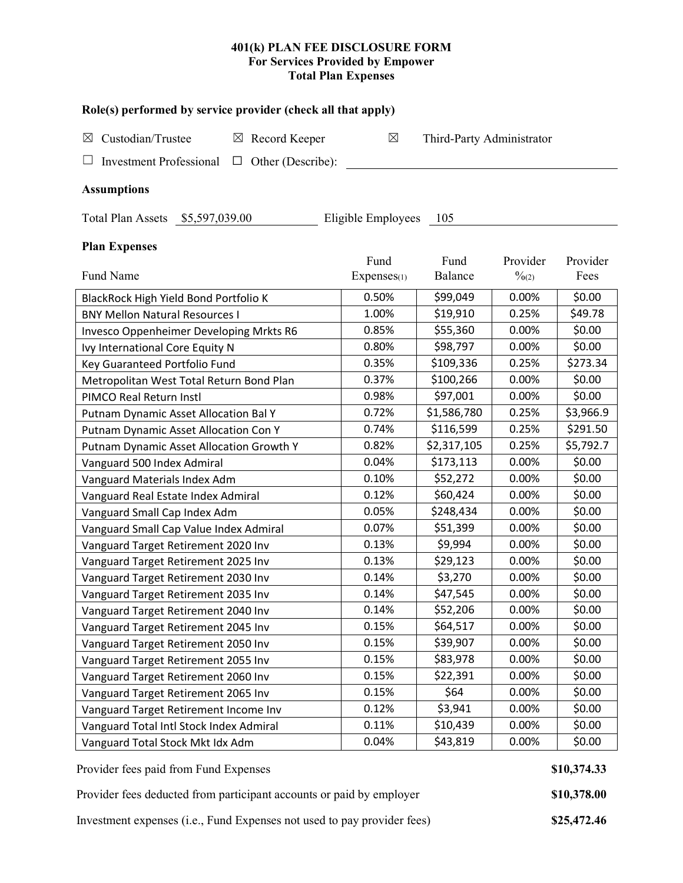## **401(k) PLAN FEE DISCLOSURE FORM For Services Provided by Empower Total Plan Expenses**

| Role(s) performed by service provider (check all that apply)    |             |                           |                   |           |  |  |  |  |  |  |
|-----------------------------------------------------------------|-------------|---------------------------|-------------------|-----------|--|--|--|--|--|--|
| Custodian/Trustee<br>$\boxtimes$ Record Keeper<br>$\boxtimes$   | $\boxtimes$ | Third-Party Administrator |                   |           |  |  |  |  |  |  |
| $\Box$ Other (Describe):<br><b>Investment Professional</b>      |             |                           |                   |           |  |  |  |  |  |  |
| <b>Assumptions</b>                                              |             |                           |                   |           |  |  |  |  |  |  |
| Total Plan Assets \$5,597,039.00<br>Eligible Employees<br>- 105 |             |                           |                   |           |  |  |  |  |  |  |
| <b>Plan Expenses</b>                                            | Fund        | Fund                      | Provider          | Provider  |  |  |  |  |  |  |
| Fund Name                                                       | Expenses(1) | Balance                   | $\frac{0}{20(2)}$ | Fees      |  |  |  |  |  |  |
| BlackRock High Yield Bond Portfolio K                           | 0.50%       | \$99,049                  | 0.00%             | \$0.00    |  |  |  |  |  |  |
| <b>BNY Mellon Natural Resources I</b>                           | 1.00%       | \$19,910                  | 0.25%             | \$49.78   |  |  |  |  |  |  |
| Invesco Oppenheimer Developing Mrkts R6                         | 0.85%       | \$55,360                  | 0.00%             | \$0.00    |  |  |  |  |  |  |
| Ivy International Core Equity N                                 | 0.80%       | \$98,797                  | 0.00%             | \$0.00    |  |  |  |  |  |  |
| Key Guaranteed Portfolio Fund                                   | 0.35%       | \$109,336                 | 0.25%             | \$273.34  |  |  |  |  |  |  |
| Metropolitan West Total Return Bond Plan                        | 0.37%       | \$100,266                 | 0.00%             | \$0.00    |  |  |  |  |  |  |
| PIMCO Real Return Instl                                         | 0.98%       | \$97,001                  | 0.00%             | \$0.00    |  |  |  |  |  |  |
| Putnam Dynamic Asset Allocation Bal Y                           | 0.72%       | \$1,586,780               | 0.25%             | \$3,966.9 |  |  |  |  |  |  |
| Putnam Dynamic Asset Allocation Con Y                           | 0.74%       | \$116,599                 | 0.25%             | \$291.50  |  |  |  |  |  |  |
| Putnam Dynamic Asset Allocation Growth Y                        | 0.82%       | \$2,317,105               | 0.25%             | \$5,792.7 |  |  |  |  |  |  |
| Vanguard 500 Index Admiral                                      | 0.04%       | \$173,113                 | 0.00%             | \$0.00    |  |  |  |  |  |  |
| Vanguard Materials Index Adm                                    | 0.10%       | \$52,272                  | 0.00%             | \$0.00    |  |  |  |  |  |  |
| Vanguard Real Estate Index Admiral                              | 0.12%       | \$60,424                  | 0.00%             | \$0.00    |  |  |  |  |  |  |
| Vanguard Small Cap Index Adm                                    | 0.05%       | \$248,434                 | 0.00%             | \$0.00    |  |  |  |  |  |  |
| Vanguard Small Cap Value Index Admiral                          | 0.07%       | \$51,399                  | 0.00%             | \$0.00    |  |  |  |  |  |  |
| Vanguard Target Retirement 2020 Inv                             | 0.13%       | \$9,994                   | 0.00%             | \$0.00    |  |  |  |  |  |  |
| Vanguard Target Retirement 2025 Inv                             | 0.13%       | \$29,123                  | 0.00%             | \$0.00    |  |  |  |  |  |  |
| Vanguard Target Retirement 2030 Inv                             | 0.14%       | \$3,270                   | 0.00%             | \$0.00    |  |  |  |  |  |  |
| Vanguard Target Retirement 2035 Inv                             | 0.14%       | \$47,545                  | 0.00%             | \$0.00    |  |  |  |  |  |  |
| Vanguard Target Retirement 2040 Inv                             | 0.14%       | \$52,206                  | 0.00%             | \$0.00    |  |  |  |  |  |  |
| Vanguard Target Retirement 2045 Inv                             | 0.15%       | \$64,517                  | 0.00%             | \$0.00    |  |  |  |  |  |  |
| Vanguard Target Retirement 2050 Inv                             | 0.15%       | \$39,907                  | 0.00%             | \$0.00    |  |  |  |  |  |  |
| Vanguard Target Retirement 2055 Inv                             | 0.15%       | \$83,978                  | 0.00%             | \$0.00    |  |  |  |  |  |  |
| Vanguard Target Retirement 2060 Inv                             | 0.15%       | \$22,391                  | 0.00%             | \$0.00    |  |  |  |  |  |  |
| Vanguard Target Retirement 2065 Inv                             | 0.15%       | \$64                      | 0.00%             | \$0.00    |  |  |  |  |  |  |
| Vanguard Target Retirement Income Inv                           | 0.12%       | \$3,941                   | 0.00%             | \$0.00    |  |  |  |  |  |  |
| Vanguard Total Intl Stock Index Admiral                         | 0.11%       | \$10,439                  | 0.00%             | \$0.00    |  |  |  |  |  |  |
| Vanguard Total Stock Mkt Idx Adm                                | 0.04%       | \$43,819                  | 0.00%             | \$0.00    |  |  |  |  |  |  |

Provider fees paid from Fund Expenses **\$10,374.33** 

| Provider fees deducted from participant accounts or paid by employer | \$10,378.00 |
|----------------------------------------------------------------------|-------------|
|----------------------------------------------------------------------|-------------|

Investment expenses (i.e., Fund Expenses not used to pay provider fees) **\$25,472.46**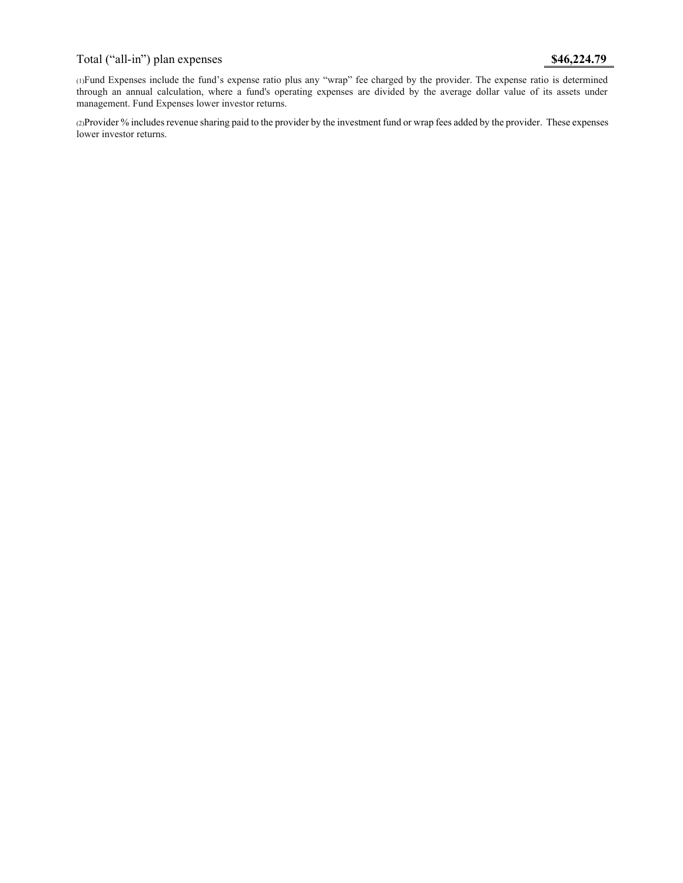# Total ("all-in") plan expenses **\$46,224.79**

(1)Fund Expenses include the fund's expense ratio plus any "wrap" fee charged by the provider. The expense ratio is determined through an annual calculation, where a fund's operating expenses are divided by the average dollar value of its assets under management. Fund Expenses lower investor returns.

(2)Provider % includes revenue sharing paid to the provider by the investment fund or wrap fees added by the provider. These expenses lower investor returns.